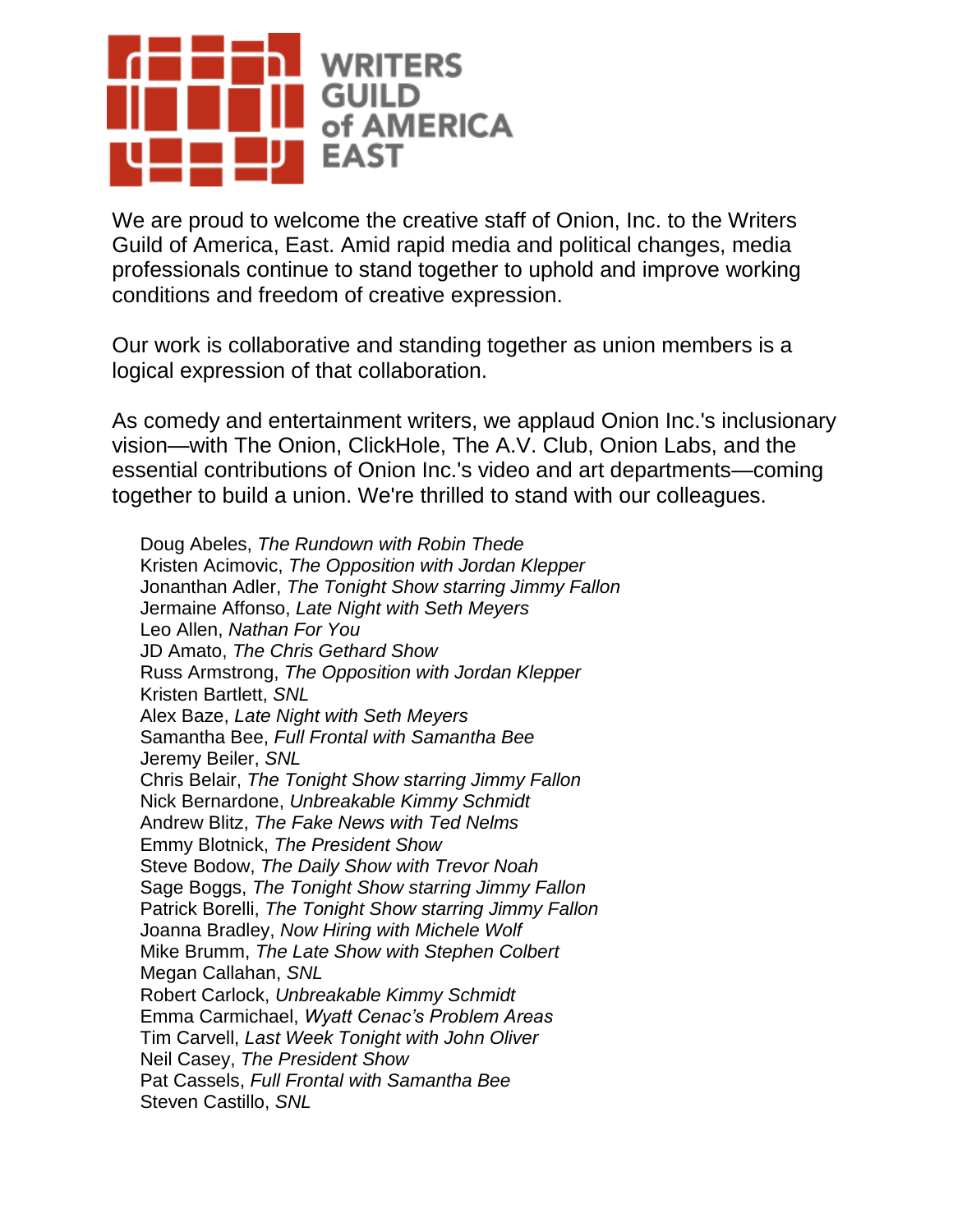

We are proud to welcome the creative staff of Onion, Inc. to the Writers Guild of America, East. Amid rapid media and political changes, media professionals continue to stand together to uphold and improve working conditions and freedom of creative expression.

Our work is collaborative and standing together as union members is a logical expression of that collaboration.

As comedy and entertainment writers, we applaud Onion Inc.'s inclusionary vision—with The Onion, ClickHole, The A.V. Club, Onion Labs, and the essential contributions of Onion Inc.'s video and art departments—coming together to build a union. We're thrilled to stand with our colleagues.

Doug Abeles, *The Rundown with Robin Thede* Kristen Acimovic, *The Opposition with Jordan Klepper* Jonanthan Adler, *The Tonight Show starring Jimmy Fallon* Jermaine Affonso, *Late Night with Seth Meyers* Leo Allen, *Nathan For You* JD Amato, *The Chris Gethard Show* Russ Armstrong, *The Opposition with Jordan Klepper* Kristen Bartlett, *SNL* Alex Baze, *Late Night with Seth Meyers* Samantha Bee, *Full Frontal with Samantha Bee* Jeremy Beiler, *SNL* Chris Belair, *The Tonight Show starring Jimmy Fallon* Nick Bernardone, *Unbreakable Kimmy Schmidt* Andrew Blitz, *The Fake News with Ted Nelms* Emmy Blotnick, *The President Show* Steve Bodow, *The Daily Show with Trevor Noah* Sage Boggs, *The Tonight Show starring Jimmy Fallon* Patrick Borelli, *The Tonight Show starring Jimmy Fallon* Joanna Bradley, *Now Hiring with Michele Wolf* Mike Brumm, *The Late Show with Stephen Colbert* Megan Callahan, *SNL* Robert Carlock, *Unbreakable Kimmy Schmidt* Emma Carmichael, *Wyatt Cenac's Problem Areas* Tim Carvell, *Last Week Tonight with John Oliver* Neil Casey, *The President Show*  Pat Cassels, *Full Frontal with Samantha Bee*  Steven Castillo, *SNL*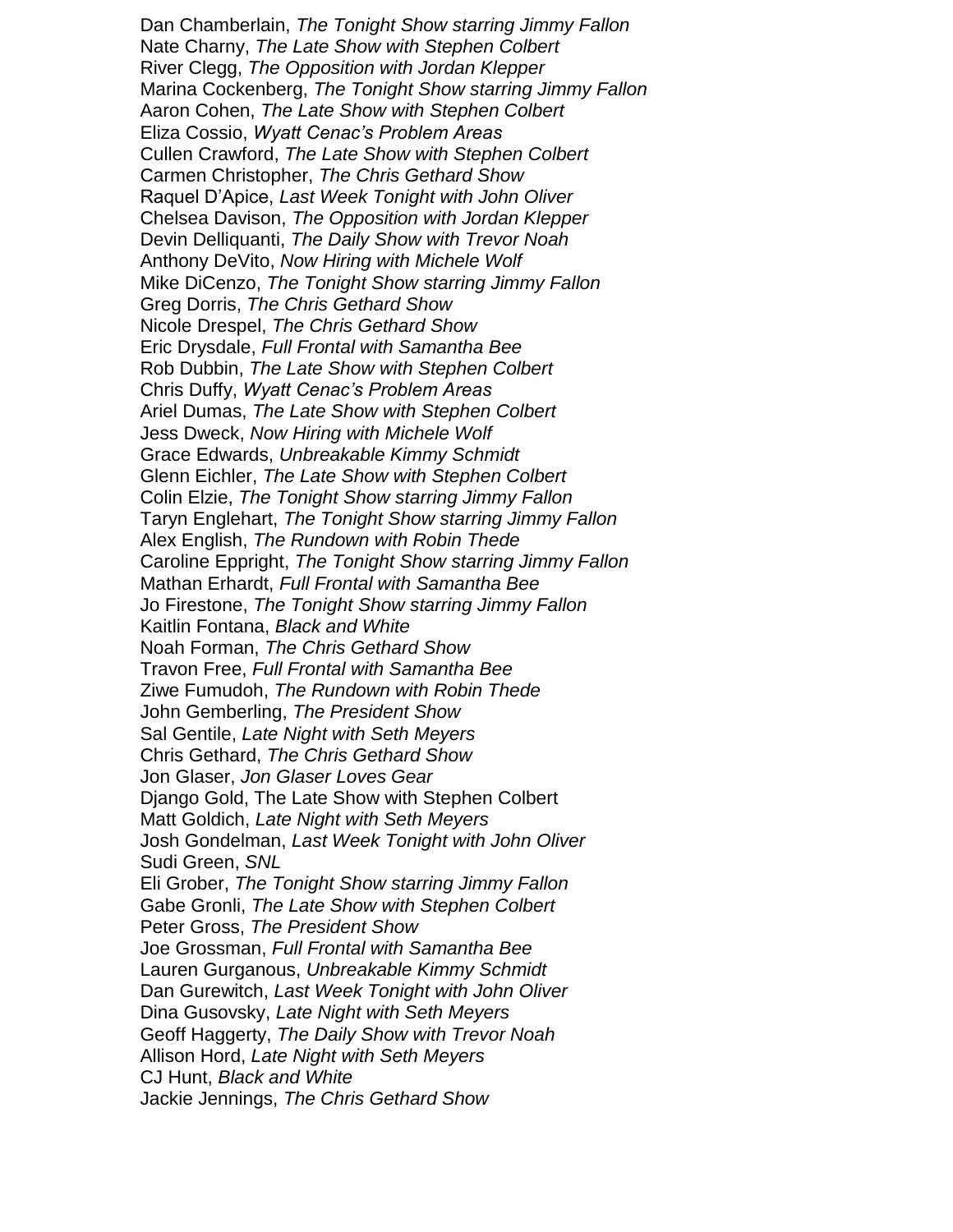Dan Chamberlain, *The Tonight Show starring Jimmy Fallon* Nate Charny, *The Late Show with Stephen Colbert* River Clegg, *The Opposition with Jordan Klepper* Marina Cockenberg, *The Tonight Show starring Jimmy Fallon* Aaron Cohen, *The Late Show with Stephen Colbert*  Eliza Cossio, *Wyatt Cenac's Problem Areas* Cullen Crawford, *The Late Show with Stephen Colbert* Carmen Christopher, *The Chris Gethard Show* Raquel D'Apice, *Last Week Tonight with John Oliver* Chelsea Davison, *The Opposition with Jordan Klepper* Devin Delliquanti, *The Daily Show with Trevor Noah* Anthony DeVito, *Now Hiring with Michele Wolf* Mike DiCenzo, *The Tonight Show starring Jimmy Fallon* Greg Dorris, *The Chris Gethard Show* Nicole Drespel, *The Chris Gethard Show* Eric Drysdale, *Full Frontal with Samantha Bee* Rob Dubbin, *The Late Show with Stephen Colbert* Chris Duffy, *Wyatt Cenac's Problem Areas* Ariel Dumas, *The Late Show with Stephen Colbert* Jess Dweck, *Now Hiring with Michele Wolf* Grace Edwards, *Unbreakable Kimmy Schmidt* Glenn Eichler, *The Late Show with Stephen Colbert* Colin Elzie, *The Tonight Show starring Jimmy Fallon* Taryn Englehart, *The Tonight Show starring Jimmy Fallon* Alex English, *The Rundown with Robin Thede* Caroline Eppright, *The Tonight Show starring Jimmy Fallon* Mathan Erhardt, *Full Frontal with Samantha Bee* Jo Firestone, *The Tonight Show starring Jimmy Fallon* Kaitlin Fontana, *Black and White* Noah Forman, *The Chris Gethard Show* Travon Free, *Full Frontal with Samantha Bee*  Ziwe Fumudoh, *The Rundown with Robin Thede* John Gemberling, *The President Show* Sal Gentile, *Late Night with Seth Meyers* Chris Gethard, *The Chris Gethard Show* Jon Glaser, *Jon Glaser Loves Gear* Django Gold, The Late Show with Stephen Colbert Matt Goldich, *Late Night with Seth Meyers* Josh Gondelman, *Last Week Tonight with John Oliver* Sudi Green, *SNL* Eli Grober, *The Tonight Show starring Jimmy Fallon* Gabe Gronli, *The Late Show with Stephen Colbert* Peter Gross, *The President Show* Joe Grossman, *Full Frontal with Samantha Bee* Lauren Gurganous, *Unbreakable Kimmy Schmidt* Dan Gurewitch, *Last Week Tonight with John Oliver* Dina Gusovsky, *Late Night with Seth Meyers* Geoff Haggerty, *The Daily Show with Trevor Noah* Allison Hord, *Late Night with Seth Meyers* CJ Hunt, *Black and White* Jackie Jennings, *The Chris Gethard Show*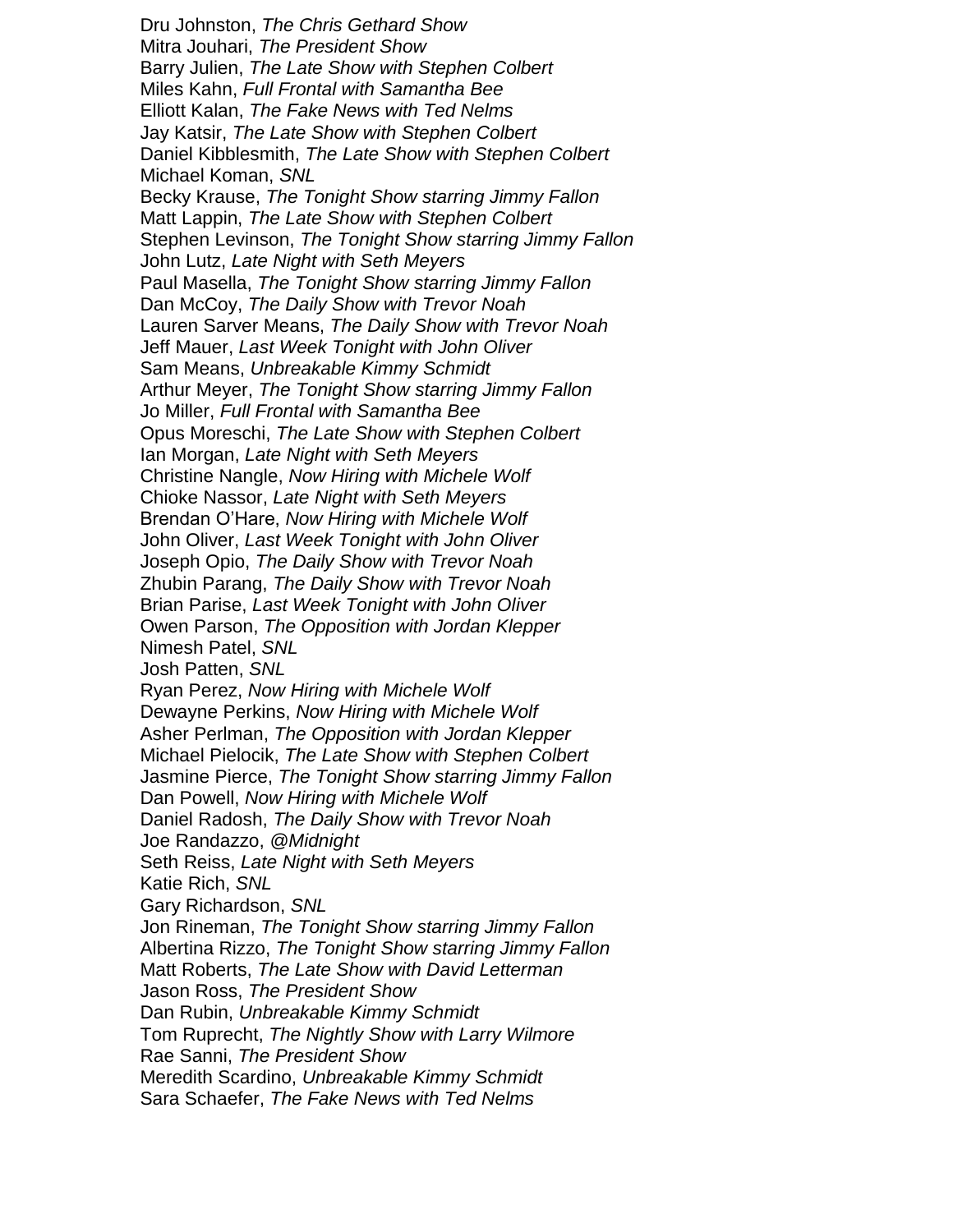Dru Johnston, *The Chris Gethard Show* Mitra Jouhari, *The President Show* Barry Julien, *The Late Show with Stephen Colbert* Miles Kahn, *Full Frontal with Samantha Bee* Elliott Kalan, *The Fake News with Ted Nelms* Jay Katsir, *The Late Show with Stephen Colbert* Daniel Kibblesmith, *The Late Show with Stephen Colbert* Michael Koman, *SNL* Becky Krause, *The Tonight Show starring Jimmy Fallon* Matt Lappin, *The Late Show with Stephen Colbert* Stephen Levinson, *The Tonight Show starring Jimmy Fallon* John Lutz, *Late Night with Seth Meyers* Paul Masella, *The Tonight Show starring Jimmy Fallon* Dan McCoy, *The Daily Show with Trevor Noah* Lauren Sarver Means, *The Daily Show with Trevor Noah*  Jeff Mauer, *Last Week Tonight with John Oliver* Sam Means, *Unbreakable Kimmy Schmidt* Arthur Meyer, *The Tonight Show starring Jimmy Fallon* Jo Miller, *Full Frontal with Samantha Bee* Opus Moreschi, *The Late Show with Stephen Colbert* Ian Morgan, *Late Night with Seth Meyers* Christine Nangle, *Now Hiring with Michele Wolf* Chioke Nassor, *Late Night with Seth Meyers* Brendan O'Hare, *Now Hiring with Michele Wolf* John Oliver, *Last Week Tonight with John Oliver* Joseph Opio, *The Daily Show with Trevor Noah* Zhubin Parang, *The Daily Show with Trevor Noah* Brian Parise, *Last Week Tonight with John Oliver* Owen Parson, *The Opposition with Jordan Klepper* Nimesh Patel, *SNL* Josh Patten, *SNL* Ryan Perez, *Now Hiring with Michele Wolf* Dewayne Perkins, *Now Hiring with Michele Wolf* Asher Perlman, *The Opposition with Jordan Klepper* Michael Pielocik, *The Late Show with Stephen Colbert* Jasmine Pierce, *The Tonight Show starring Jimmy Fallon* Dan Powell, *Now Hiring with Michele Wolf* Daniel Radosh, *The Daily Show with Trevor Noah*  Joe Randazzo, *@Midnight* Seth Reiss, *Late Night with Seth Meyers* Katie Rich, *SNL* Gary Richardson, *SNL* Jon Rineman, *The Tonight Show starring Jimmy Fallon* Albertina Rizzo, *The Tonight Show starring Jimmy Fallon* Matt Roberts, *The Late Show with David Letterman* Jason Ross, *The President Show* Dan Rubin, *Unbreakable Kimmy Schmidt* Tom Ruprecht, *The Nightly Show with Larry Wilmore* Rae Sanni, *The President Show* Meredith Scardino, *Unbreakable Kimmy Schmidt* Sara Schaefer, *The Fake News with Ted Nelms*